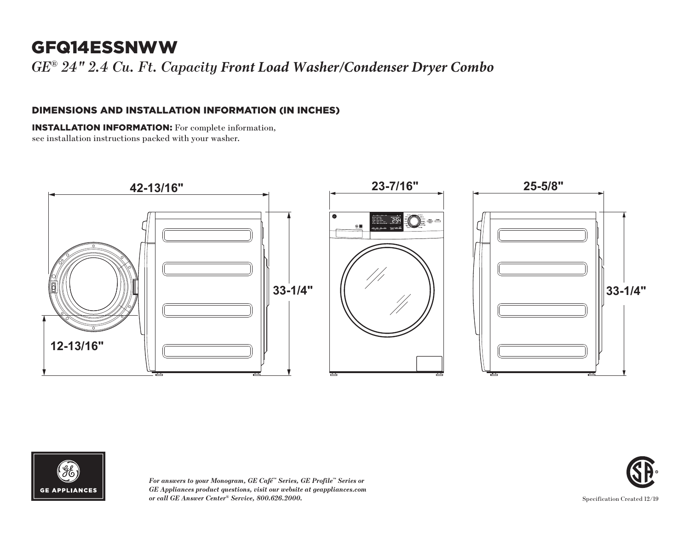# GFQ14ESSNWW

*GE ® 24" 2.4 Cu. Ft. Capacity Front Load Washer/Condenser Dryer Combo*

## DIMENSIONS AND INSTALLATION INFORMATION (IN INCHES)

INSTALLATION INFORMATION: For complete information, see installation instructions packed with your washer.







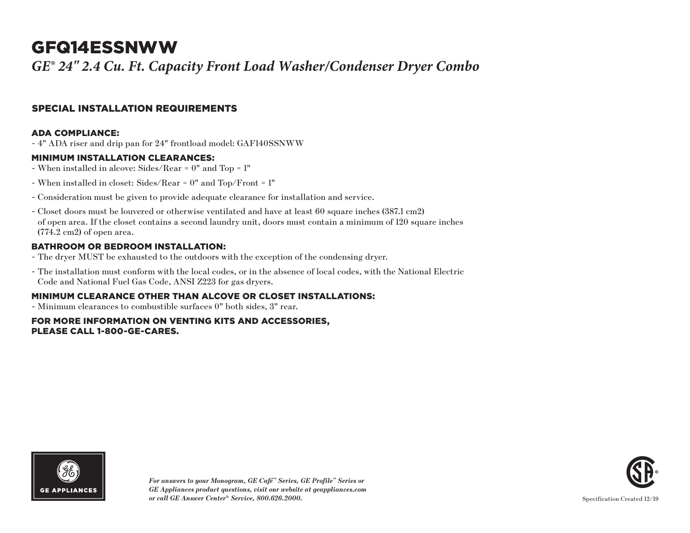# GFQ14ESSNWW

*GE® 24" 2.4 Cu. Ft. Capacity Front Load Washer/Condenser Dryer Combo*

## SPECIAL INSTALLATION REQUIREMENTS

#### ADA COMPLIANCE:

- 4" ADA riser and drip pan for 24" frontload model: GAF140SSNWW

#### MINIMUM INSTALLATION CLEARANCES:

- When installed in alcove: Sides/Rear = 0" and Top = 1"
- When installed in closet: Sides/Rear = 0" and Top/Front = 1"
- Consideration must be given to provide adequate clearance for installation and service.
- Closet doors must be louvered or otherwise ventilated and have at least 60 square inches (387.1 cm2) of open area. If the closet contains a second laundry unit, doors must contain a minimum of 120 square inches (774.2 cm2) of open area.

### BATHROOM OR BEDROOM INSTALLATION:

- The dryer MUST be exhausted to the outdoors with the exception of the condensing dryer.
- The installation must conform with the local codes, or in the absence of local codes, with the National Electric Code and National Fuel Gas Code, ANSI Z223 for gas dryers.

### MINIMUM CLEARANCE OTHER THAN ALCOVE OR CLOSET INSTALLATIONS:

- Minimum clearances to combustible surfaces 0" both sides, 3" rear.

#### FOR MORE INFORMATION ON VENTING KITS AND ACCESSORIES, PLEASE CALL 1-800-GE-CARES.